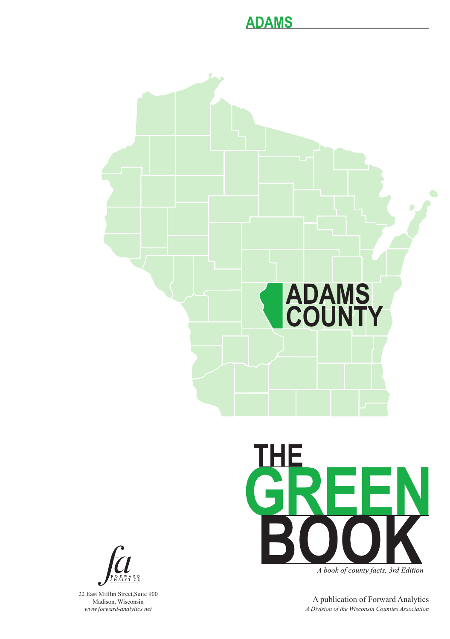



22 East Mifflin Street,Suite 900 Madison, Wisconsin *www.forward-analytics.net*



A book of county facts, 3rd Edition

A publication of Forward Analytics *A Division of the Wisconsin Counties Association*